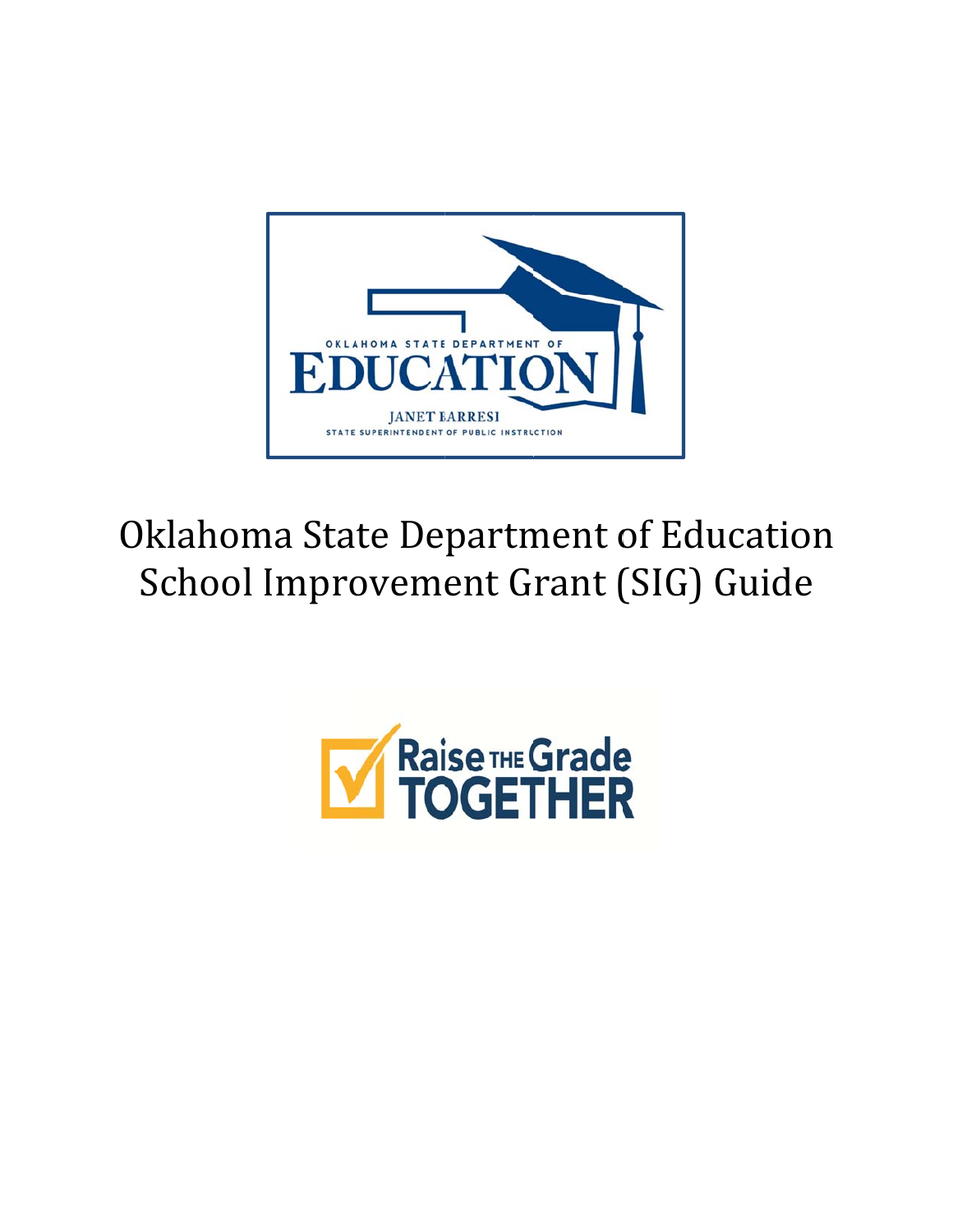

# Oklahoma State Department of Education School Improvement Grant (SIG) Guide

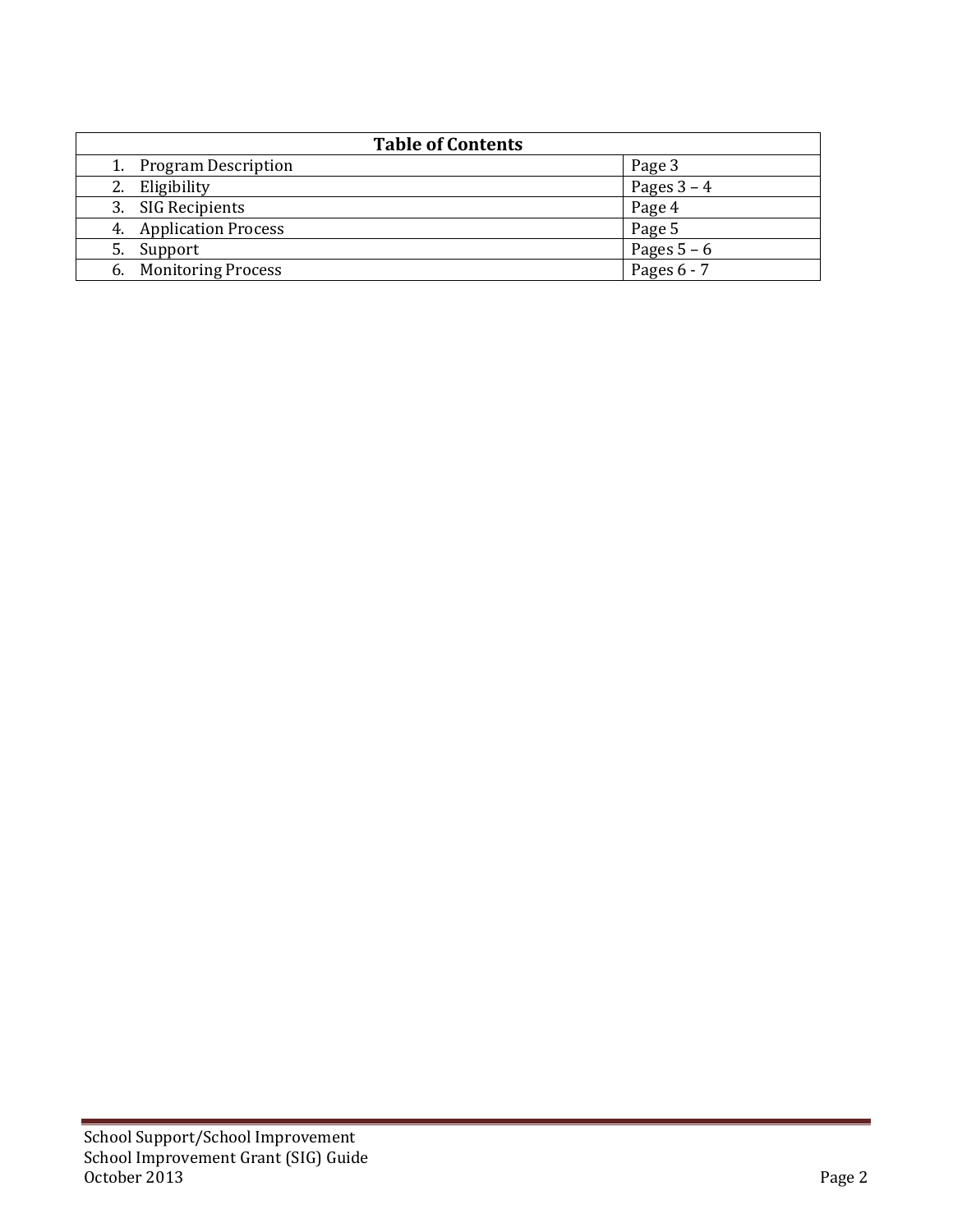| <b>Table of Contents</b>        |               |
|---------------------------------|---------------|
| 1. Program Description          | Page 3        |
| Eligibility                     | Pages $3 - 4$ |
| 3. SIG Recipients               | Page 4        |
| 4. Application Process          | Page 5        |
| Support<br>5.                   | Pages $5 - 6$ |
| <b>Monitoring Process</b><br>6. | Pages $6 - 7$ |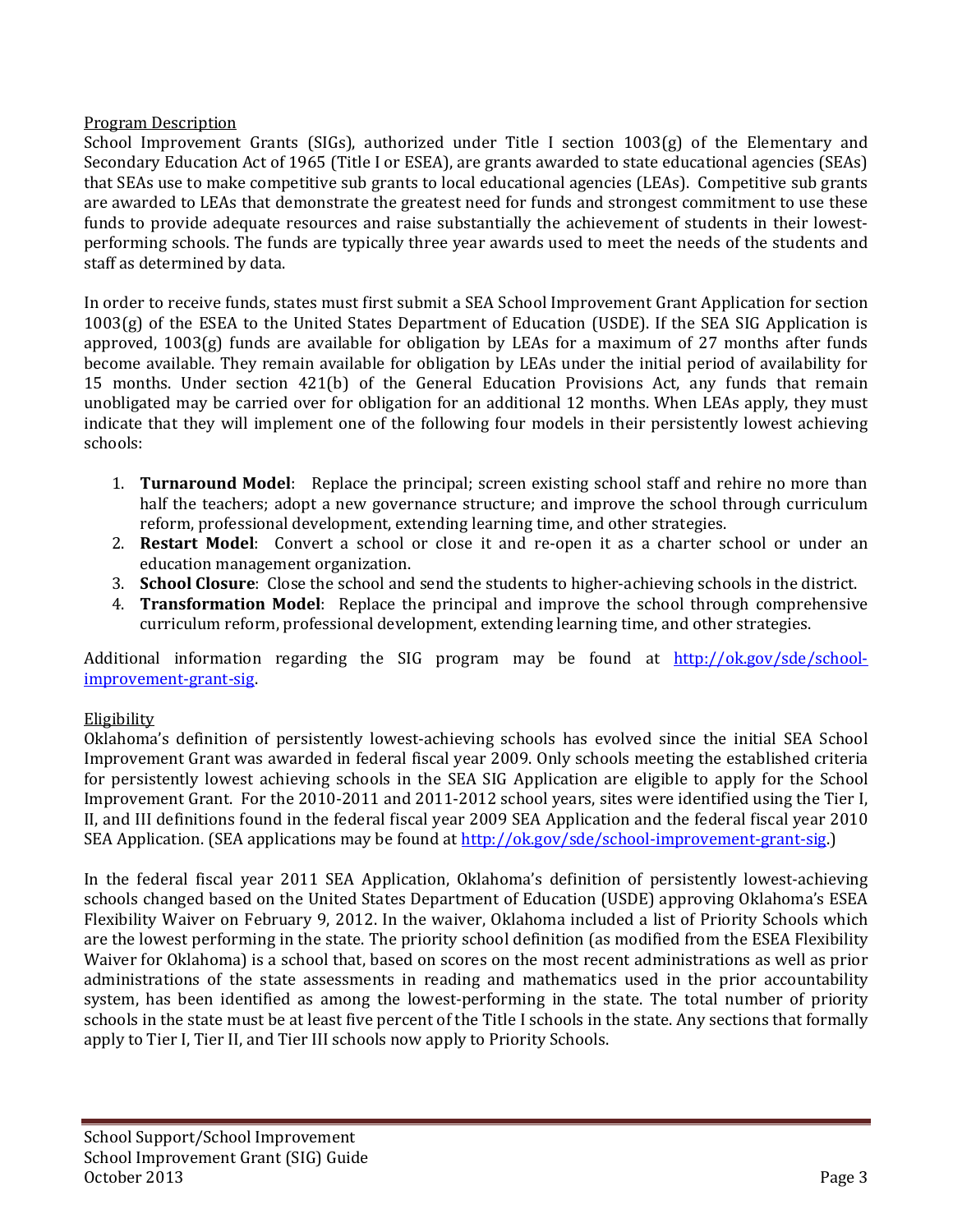### Program Description

School Improvement Grants (SIGs), authorized under Title I section  $1003(g)$  of the Elementary and Secondary Education Act of 1965 (Title I or ESEA), are grants awarded to state educational agencies (SEAs) that SEAs use to make competitive sub grants to local educational agencies (LEAs). Competitive sub grants are awarded to LEAs that demonstrate the greatest need for funds and strongest commitment to use these funds to provide adequate resources and raise substantially the achievement of students in their lowestperforming schools. The funds are typically three year awards used to meet the needs of the students and staff as determined by data.

In order to receive funds, states must first submit a SEA School Improvement Grant Application for section  $1003(g)$  of the ESEA to the United States Department of Education (USDE). If the SEA SIG Application is approved,  $1003(g)$  funds are available for obligation by LEAs for a maximum of 27 months after funds become available. They remain available for obligation by LEAs under the initial period of availability for 15 months. Under section 421(b) of the General Education Provisions Act, any funds that remain unobligated may be carried over for obligation for an additional 12 months. When LEAs apply, they must indicate that they will implement one of the following four models in their persistently lowest achieving schools: 

- 1. **Turnaround Model**: Replace the principal; screen existing school staff and rehire no more than half the teachers; adopt a new governance structure; and improve the school through curriculum reform, professional development, extending learning time, and other strategies.
- 2. **Restart Model**: Convert a school or close it and re-open it as a charter school or under an education management organization.
- 3. **School Closure**: Close the school and send the students to higher-achieving schools in the district.
- 4. **Transformation Model**: Replace the principal and improve the school through comprehensive curriculum reform, professional development, extending learning time, and other strategies.

Additional information regarding the SIG program may be found at http://ok.gov/sde/schoolimprovement‐grant‐sig. 

# **Eligibility**

Oklahoma's definition of persistently lowest-achieving schools has evolved since the initial SEA School Improvement Grant was awarded in federal fiscal year 2009. Only schools meeting the established criteria for persistently lowest achieving schools in the SEA SIG Application are eligible to apply for the School Improvement Grant. For the 2010-2011 and 2011-2012 school years, sites were identified using the Tier I, II, and III definitions found in the federal fiscal year 2009 SEA Application and the federal fiscal year 2010 SEA Application. (SEA applications may be found at http://ok.gov/sde/school-improvement-grant-sig.)

In the federal fiscal year 2011 SEA Application, Oklahoma's definition of persistently lowest-achieving schools changed based on the United States Department of Education (USDE) approving Oklahoma's ESEA Flexibility Waiver on February 9, 2012. In the waiver, Oklahoma included a list of Priority Schools which are the lowest performing in the state. The priority school definition (as modified from the ESEA Flexibility Waiver for Oklahoma) is a school that, based on scores on the most recent administrations as well as prior administrations of the state assessments in reading and mathematics used in the prior accountability system, has been identified as among the lowest-performing in the state. The total number of priority schools in the state must be at least five percent of the Title I schools in the state. Any sections that formally apply to Tier I, Tier II, and Tier III schools now apply to Priority Schools.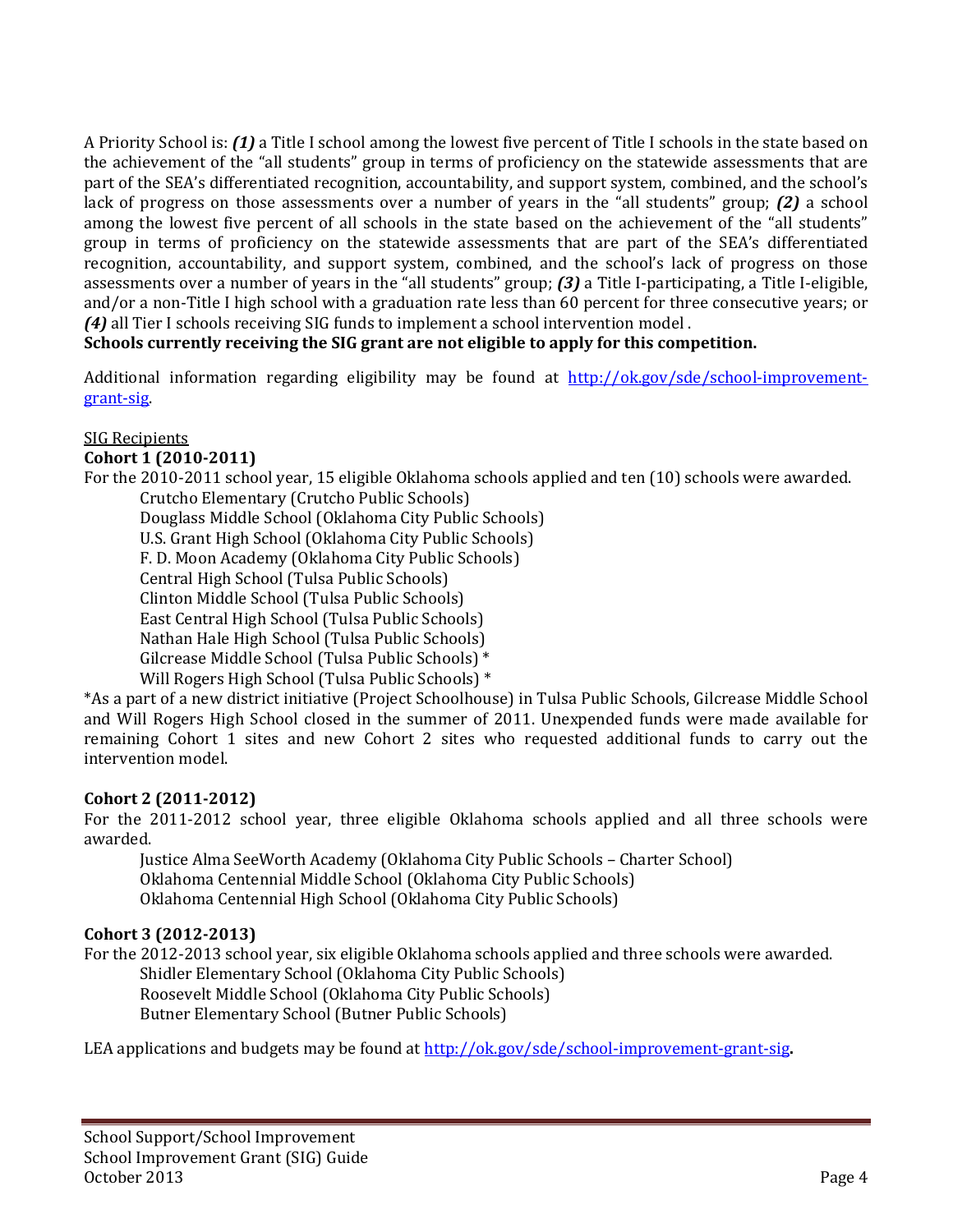A Priority School is: **(1)** a Title I school among the lowest five percent of Title I schools in the state based on the achievement of the "all students" group in terms of proficiency on the statewide assessments that are part of the SEA's differentiated recognition, accountability, and support system, combined, and the school's lack of progress on those assessments over a number of years in the "all students" group; **(2)** a school among the lowest five percent of all schools in the state based on the achievement of the "all students" group in terms of proficiency on the statewide assessments that are part of the SEA's differentiated recognition, accountability, and support system, combined, and the school's lack of progress on those assessments over a number of years in the "all students" group; **(3)** a Title I-participating, a Title I-eligible, and/or a non-Title I high school with a graduation rate less than 60 percent for three consecutive years; or *(4)* all Tier I schools receiving SIG funds to implement a school intervention model.

# **Schools currently receiving the SIG grant are not eligible to apply for this competition.**

Additional information regarding eligibility may be found at  $[http://ok.gov/sde/school-improvement-}](http://ok.gov/sde/school-improvement-)$ grant‐sig. 

#### SIG Recipients

#### **Cohort 1 (2010‐2011)**

For the 2010-2011 school year, 15 eligible Oklahoma schools applied and ten (10) schools were awarded. Crutcho Elementary (Crutcho Public Schools) Douglass Middle School (Oklahoma City Public Schools) U.S. Grant High School (Oklahoma City Public Schools) F. D. Moon Academy (Oklahoma City Public Schools) Central High School (Tulsa Public Schools) Clinton Middle School (Tulsa Public Schools) East Central High School (Tulsa Public Schools) Nathan Hale High School (Tulsa Public Schools) Gilcrease Middle School (Tulsa Public Schools) \* Will Rogers High School (Tulsa Public Schools)  $*$ 

\*As a part of a new district initiative (Project Schoolhouse) in Tulsa Public Schools, Gilcrease Middle School and Will Rogers High School closed in the summer of 2011. Unexpended funds were made available for remaining Cohort 1 sites and new Cohort 2 sites who requested additional funds to carry out the intervention model.

# **Cohort 2 (2011‐2012)**

For the 2011-2012 school year, three eligible Oklahoma schools applied and all three schools were awarded. 

Justice Alma SeeWorth Academy (Oklahoma City Public Schools – Charter School) Oklahoma Centennial Middle School (Oklahoma City Public Schools) Oklahoma Centennial High School (Oklahoma City Public Schools)

# **Cohort 3 (2012‐2013)**

For the 2012-2013 school year, six eligible Oklahoma schools applied and three schools were awarded.

Shidler Elementary School (Oklahoma City Public Schools) Roosevelt Middle School (Oklahoma City Public Schools) Butner Elementary School (Butner Public Schools)

LEA applications and budgets may be found at http://ok.gov/sde/school-improvement-grant-sig.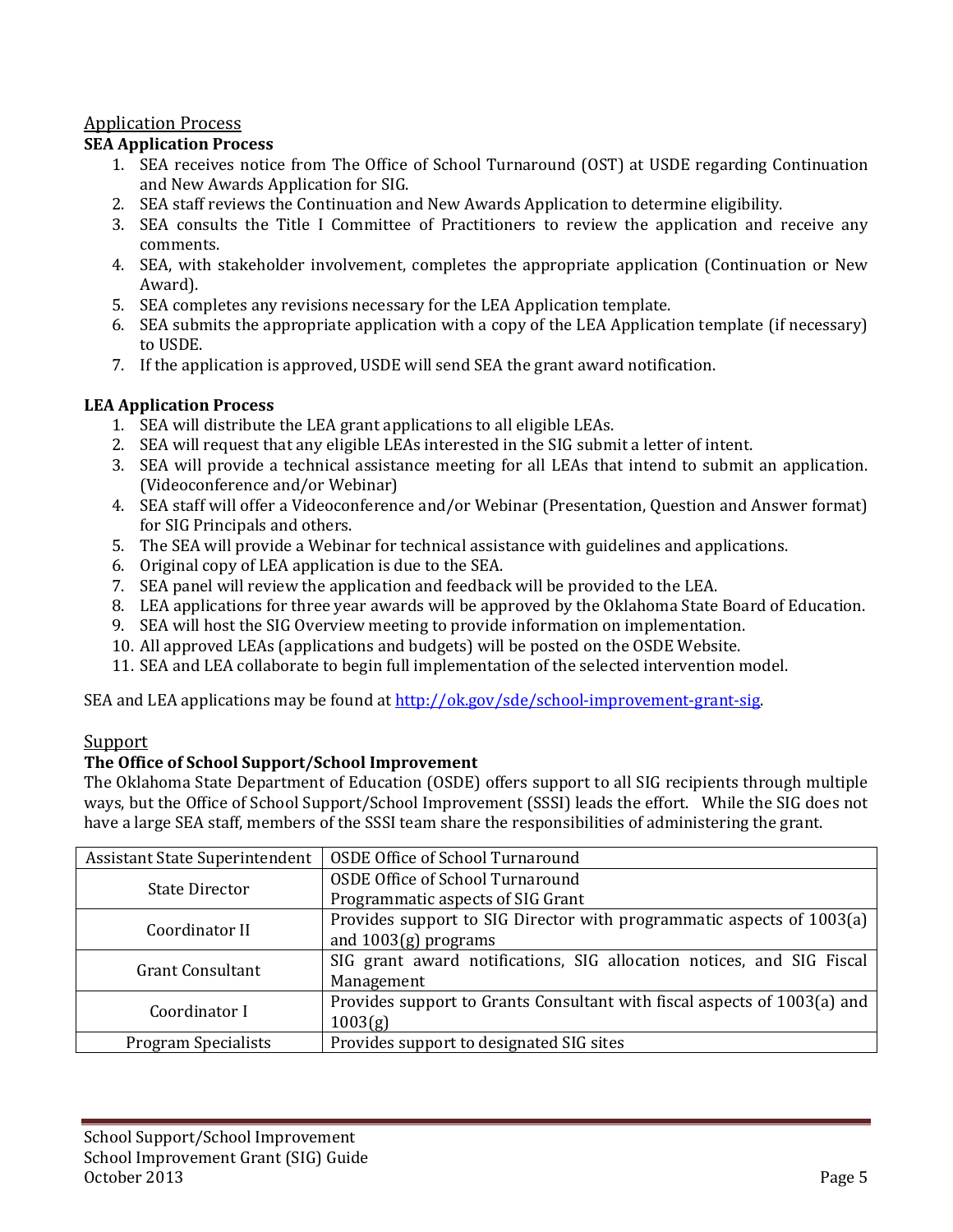# Application Process

### **SEA Application Process**

- 1. SEA receives notice from The Office of School Turnaround (OST) at USDE regarding Continuation and New Awards Application for SIG.
- 2. SEA staff reviews the Continuation and New Awards Application to determine eligibility.
- 3. SEA consults the Title I Committee of Practitioners to review the application and receive any comments.
- 4. SEA, with stakeholder involvement, completes the appropriate application (Continuation or New Award).
- 5. SEA completes any revisions necessary for the LEA Application template.
- 6. SEA submits the appropriate application with a copy of the LEA Application template (if necessary) to USDE.
- 7. If the application is approved, USDE will send SEA the grant award notification.

# **LEA Application Process**

- 1. SEA will distribute the LEA grant applications to all eligible LEAs.
- 2. SEA will request that any eligible LEAs interested in the SIG submit a letter of intent.
- 3. SEA will provide a technical assistance meeting for all LEAs that intend to submit an application. (Videoconference and/or Webinar)
- 4. SEA staff will offer a Videoconference and/or Webinar (Presentation, Question and Answer format) for SIG Principals and others.
- 5. The SEA will provide a Webinar for technical assistance with guidelines and applications.
- 6. Original copy of LEA application is due to the SEA.
- 7. SEA panel will review the application and feedback will be provided to the LEA.
- 8. LEA applications for three year awards will be approved by the Oklahoma State Board of Education.
- 9. SEA will host the SIG Overview meeting to provide information on implementation.
- 10. All approved LEAs (applications and budgets) will be posted on the OSDE Website.
- 11. SEA and LEA collaborate to begin full implementation of the selected intervention model.

SEA and LEA applications may be found at http://ok.gov/sde/school-improvement-grant-sig.

# Support

# **The Office of School Support/School Improvement**

The Oklahoma State Department of Education (OSDE) offers support to all SIG recipients through multiple ways, but the Office of School Support/School Improvement (SSSI) leads the effort. While the SIG does not have a large SEA staff, members of the SSSI team share the responsibilities of administering the grant.

| <b>Assistant State Superintendent</b> | <b>OSDE Office of School Turnaround</b>                                  |
|---------------------------------------|--------------------------------------------------------------------------|
| <b>State Director</b>                 | <b>OSDE Office of School Turnaround</b>                                  |
|                                       | Programmatic aspects of SIG Grant                                        |
| Coordinator II                        | Provides support to SIG Director with programmatic aspects of 1003(a)    |
|                                       | and $1003(g)$ programs                                                   |
| <b>Grant Consultant</b>               | SIG grant award notifications, SIG allocation notices, and SIG Fiscal    |
|                                       | Management                                                               |
| Coordinator I                         | Provides support to Grants Consultant with fiscal aspects of 1003(a) and |
|                                       | 1003(g)                                                                  |
| <b>Program Specialists</b>            | Provides support to designated SIG sites                                 |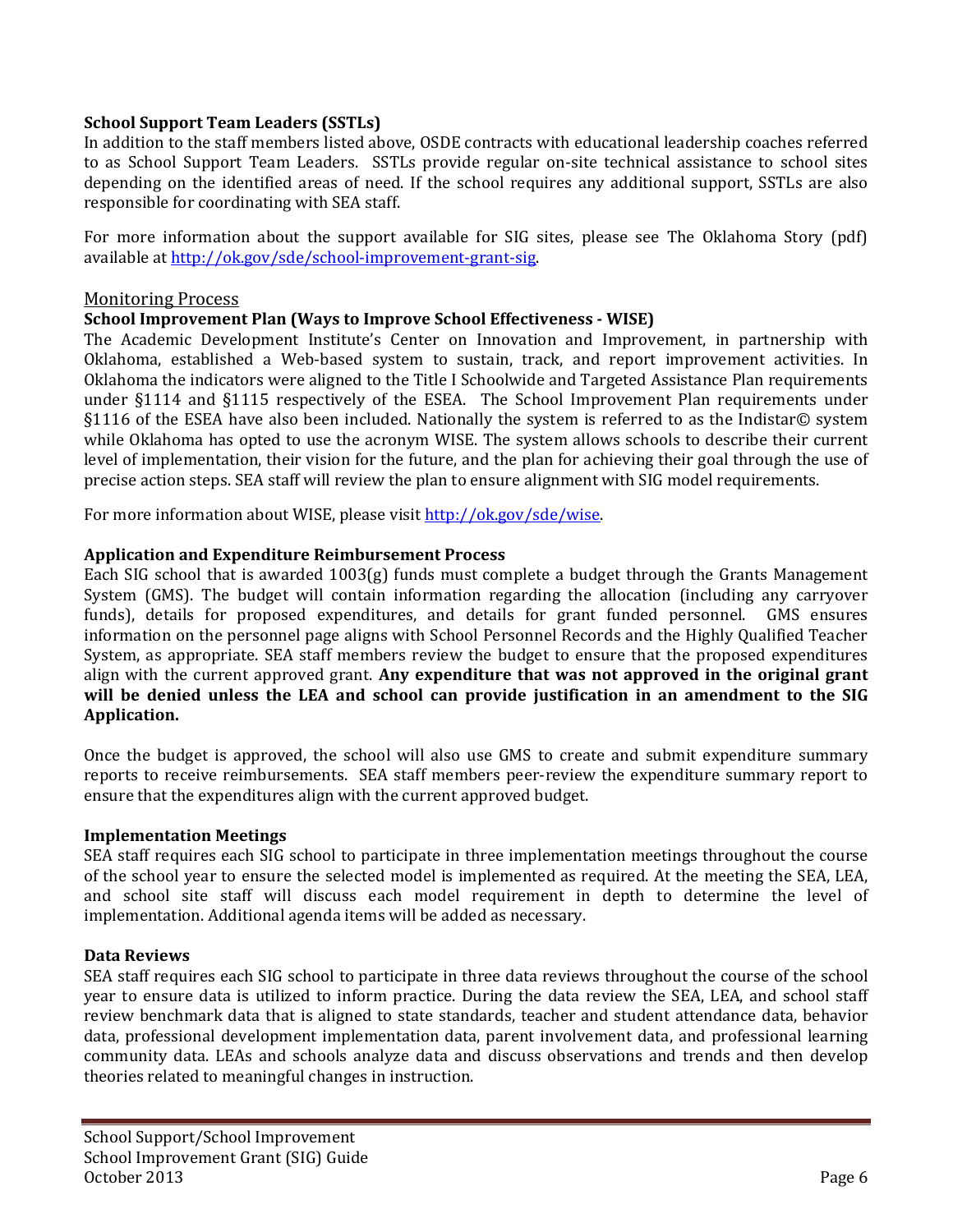#### **School Support Team Leaders (SSTLs)**

In addition to the staff members listed above, OSDE contracts with educational leadership coaches referred to as School Support Team Leaders. SSTLs provide regular on-site technical assistance to school sites depending on the identified areas of need. If the school requires any additional support, SSTLs are also responsible for coordinating with SEA staff.

For more information about the support available for SIG sites, please see The Oklahoma Story (pdf) available at http://ok.gov/sde/school-improvement-grant-sig.

#### **Monitoring Process**

#### **School Improvement Plan (Ways to Improve School Effectiveness ‐ WISE)**

The Academic Development Institute's Center on Innovation and Improvement, in partnership with Oklahoma, established a Web-based system to sustain, track, and report improvement activities. In Oklahoma the indicators were aligned to the Title I Schoolwide and Targeted Assistance Plan requirements under §1114 and §1115 respectively of the ESEA. The School Improvement Plan requirements under §1116 of the ESEA have also been included. Nationally the system is referred to as the Indistar© system while Oklahoma has opted to use the acronym WISE. The system allows schools to describe their current level of implementation, their vision for the future, and the plan for achieving their goal through the use of precise action steps. SEA staff will review the plan to ensure alignment with SIG model requirements.

For more information about WISE, please visit http://ok.gov/sde/wise.

#### **Application and Expenditure Reimbursement Process**

Each SIG school that is awarded  $1003(g)$  funds must complete a budget through the Grants Management System (GMS). The budget will contain information regarding the allocation (including any carryover funds), details for proposed expenditures, and details for grant funded personnel. GMS ensures information on the personnel page aligns with School Personnel Records and the Highly Qualified Teacher System, as appropriate. SEA staff members review the budget to ensure that the proposed expenditures align with the current approved grant. **Any expenditure that was not approved in the original grant will be denied unless the LEA and school can provide justification in an amendment to the SIG** Application.

Once the budget is approved, the school will also use GMS to create and submit expenditure summary reports to receive reimbursements. SEA staff members peer-review the expenditure summary report to ensure that the expenditures align with the current approved budget.

#### **Implementation Meetings**

SEA staff requires each SIG school to participate in three implementation meetings throughout the course of the school year to ensure the selected model is implemented as required. At the meeting the SEA, LEA, and school site staff will discuss each model requirement in depth to determine the level of implementation. Additional agenda items will be added as necessary.

#### **Data Reviews**

SEA staff requires each SIG school to participate in three data reviews throughout the course of the school year to ensure data is utilized to inform practice. During the data review the SEA, LEA, and school staff review benchmark data that is aligned to state standards, teacher and student attendance data, behavior data, professional development implementation data, parent involvement data, and professional learning community data. LEAs and schools analyze data and discuss observations and trends and then develop theories related to meaningful changes in instruction.